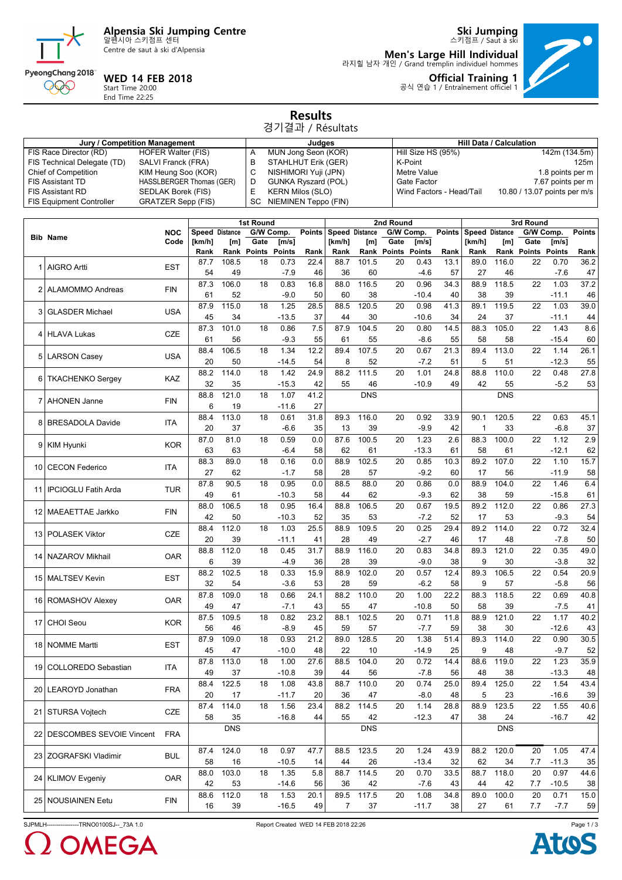## **Alpensia Ski Jumping Centre** 알펜시아 스키점프 센터

Centre de saut à ski d'Alpensia

**Ski Jumping** 스키점프 / Saut à ski **Men's Large Hill Individual** 라지힐 남자 개인 / Grand tremplin individuel hommes  $\bullet$ 

**Official Training 1** 공식 연습 1 / Entraînement officiel 1



### **WED 14 FEB 2018**

Start Time 20:00 End Time 22:25

#### **Results** 경기결과 / Résultats

| Jury / Competition Management   |                           |    | Judaes                     | <b>Hill Data / Calculation</b> |                              |  |  |  |  |  |  |  |
|---------------------------------|---------------------------|----|----------------------------|--------------------------------|------------------------------|--|--|--|--|--|--|--|
| FIS Race Director (RD)          | <b>HOFER Walter (FIS)</b> |    | MUN Jong Seon (KOR)        | Hill Size HS (95%)             | 142m (134.5m)                |  |  |  |  |  |  |  |
| FIS Technical Delegate (TD)     | SALVI Franck (FRA)        |    | STAHLHUT Erik (GER)        | K-Point                        | 125m                         |  |  |  |  |  |  |  |
| <b>Chief of Competition</b>     | KIM Heung Soo (KOR)       |    | NISHIMORI Yuji (JPN)       | Metre Value                    | 1.8 points per m             |  |  |  |  |  |  |  |
| <b>FIS Assistant TD</b>         | HASSLBERGER Thomas (GER)  |    | <b>GUNKA Ryszard (POL)</b> | Gate Factor                    | 7.67 points per m            |  |  |  |  |  |  |  |
| <b>FIS Assistant RD</b>         | SEDLAK Borek (FIS)        |    | <b>KERN Milos (SLO)</b>    | Wind Factors - Head/Tail       | 10.80 / 13.07 points per m/s |  |  |  |  |  |  |  |
| <b>FIS Equipment Controller</b> | <b>GRATZER Sepp (FIS)</b> | SC | NIEMINEN Teppo (FIN)       |                                |                              |  |  |  |  |  |  |  |

| G/W Comp.<br>G/W Comp.<br><b>Points</b><br><b>Speed Distance</b><br><b>Points</b><br><b>Speed Distance</b><br><b>Speed Distance</b><br>NOC<br><b>Bib Name</b><br>Code<br>[km/h]<br>Gate<br>[km/h]<br>Gate<br>[km/h]<br>[m]<br>[m/s]<br>[m]<br>[m/s]<br>Rank Points<br><b>Points</b><br>Rank Points<br><b>Points</b><br>Rank<br>Rank<br>Rank<br>Rank<br>Rank<br>108.5<br>0.73<br>22.4<br>88.7<br>101.5<br>20<br>0.43<br>13.1<br>89.0<br>87.7<br>18<br><b>AIGRO Artti</b><br><b>EST</b><br>54<br>49<br>$-7.9$<br>46<br>36<br>60<br>$-4.6$<br>57<br>27<br>87.3<br>106.0<br>16.8<br>88.0<br>116.5<br>20<br>0.96<br>34.3<br>88.9<br>18<br>0.83<br><b>ALAMOMMO Andreas</b><br><b>FIN</b><br>52<br>50<br>$-10.4$<br>40<br>38<br>61<br>$-9.0$<br>60<br>38<br>87.9<br>115.0<br>1.25<br>28.5<br>88.5<br>120.5<br>20<br>0.98<br>41.3<br>89.1<br>18<br><b>USA</b><br><b>GLASDER Michael</b><br>3<br>37<br>45<br>34<br>$-13.5$<br>44<br>$-10.6$<br>24<br>30<br>34<br>14.5<br>87.3<br>101.0<br>0.86<br>7.5<br>87.9<br>104.5<br>20<br>0.80<br>88.3<br>18<br>CZE<br><b>HLAVA Lukas</b><br>4<br>55<br>55<br>58<br>61<br>56<br>$-9.3$<br>61<br>55<br>$-8.6$<br>106.5<br>107.5<br>21.3<br>1.34<br>12.2<br>89.4<br>20<br>0.67<br>89.4<br>113.0<br>88.4<br>18<br><b>USA</b><br>5 LARSON Casey<br>8<br>5<br>20<br>50<br>$-14.5$<br>54<br>52<br>$-7.2$<br>51<br>88.2<br>114.0<br>1.42<br>88.2<br>111.5<br>1.01<br>$88.\overline{8}$<br>18<br>24.9<br>20<br>24.8<br>KAZ<br><b>TKACHENKO Sergey</b><br>6<br>32<br>42<br>$-10.9$<br>42<br>35<br>$-15.3$<br>55<br>46<br>49<br>41.2<br><b>DNS</b><br>88.8<br>121.0<br>1.07<br>18<br>7 AHONEN Janne<br><b>FIN</b> | Gate<br>[m]<br>Rank Points<br>22<br>116.0<br>46<br>118.5<br>22<br>39<br>119.5<br>22<br>37<br>105.0<br>22<br>58<br>22<br>51<br>110.0<br>22<br>55<br><b>DNS</b> | G/W Comp.<br>[m/s]<br>Points<br>0.70<br>$-7.6$<br>1.03<br>$-11.1$<br>1.03<br>$-11.1$<br>1.43<br>$-15.4$<br>1.14<br>$-12.3$<br>0.48 | <b>Points</b><br>Rank<br>36.2<br>47<br>37.2<br>46<br>39.0<br>44<br>8.6<br>60<br>26.1<br>55 |
|--------------------------------------------------------------------------------------------------------------------------------------------------------------------------------------------------------------------------------------------------------------------------------------------------------------------------------------------------------------------------------------------------------------------------------------------------------------------------------------------------------------------------------------------------------------------------------------------------------------------------------------------------------------------------------------------------------------------------------------------------------------------------------------------------------------------------------------------------------------------------------------------------------------------------------------------------------------------------------------------------------------------------------------------------------------------------------------------------------------------------------------------------------------------------------------------------------------------------------------------------------------------------------------------------------------------------------------------------------------------------------------------------------------------------------------------------------------------------------------------------------------------------------------------------------------------------------------------------------------------------------------|---------------------------------------------------------------------------------------------------------------------------------------------------------------|------------------------------------------------------------------------------------------------------------------------------------|--------------------------------------------------------------------------------------------|
|                                                                                                                                                                                                                                                                                                                                                                                                                                                                                                                                                                                                                                                                                                                                                                                                                                                                                                                                                                                                                                                                                                                                                                                                                                                                                                                                                                                                                                                                                                                                                                                                                                      |                                                                                                                                                               |                                                                                                                                    |                                                                                            |
|                                                                                                                                                                                                                                                                                                                                                                                                                                                                                                                                                                                                                                                                                                                                                                                                                                                                                                                                                                                                                                                                                                                                                                                                                                                                                                                                                                                                                                                                                                                                                                                                                                      |                                                                                                                                                               |                                                                                                                                    |                                                                                            |
|                                                                                                                                                                                                                                                                                                                                                                                                                                                                                                                                                                                                                                                                                                                                                                                                                                                                                                                                                                                                                                                                                                                                                                                                                                                                                                                                                                                                                                                                                                                                                                                                                                      |                                                                                                                                                               |                                                                                                                                    |                                                                                            |
|                                                                                                                                                                                                                                                                                                                                                                                                                                                                                                                                                                                                                                                                                                                                                                                                                                                                                                                                                                                                                                                                                                                                                                                                                                                                                                                                                                                                                                                                                                                                                                                                                                      |                                                                                                                                                               |                                                                                                                                    |                                                                                            |
|                                                                                                                                                                                                                                                                                                                                                                                                                                                                                                                                                                                                                                                                                                                                                                                                                                                                                                                                                                                                                                                                                                                                                                                                                                                                                                                                                                                                                                                                                                                                                                                                                                      |                                                                                                                                                               |                                                                                                                                    |                                                                                            |
|                                                                                                                                                                                                                                                                                                                                                                                                                                                                                                                                                                                                                                                                                                                                                                                                                                                                                                                                                                                                                                                                                                                                                                                                                                                                                                                                                                                                                                                                                                                                                                                                                                      |                                                                                                                                                               |                                                                                                                                    |                                                                                            |
|                                                                                                                                                                                                                                                                                                                                                                                                                                                                                                                                                                                                                                                                                                                                                                                                                                                                                                                                                                                                                                                                                                                                                                                                                                                                                                                                                                                                                                                                                                                                                                                                                                      |                                                                                                                                                               |                                                                                                                                    |                                                                                            |
|                                                                                                                                                                                                                                                                                                                                                                                                                                                                                                                                                                                                                                                                                                                                                                                                                                                                                                                                                                                                                                                                                                                                                                                                                                                                                                                                                                                                                                                                                                                                                                                                                                      |                                                                                                                                                               |                                                                                                                                    |                                                                                            |
|                                                                                                                                                                                                                                                                                                                                                                                                                                                                                                                                                                                                                                                                                                                                                                                                                                                                                                                                                                                                                                                                                                                                                                                                                                                                                                                                                                                                                                                                                                                                                                                                                                      |                                                                                                                                                               |                                                                                                                                    |                                                                                            |
|                                                                                                                                                                                                                                                                                                                                                                                                                                                                                                                                                                                                                                                                                                                                                                                                                                                                                                                                                                                                                                                                                                                                                                                                                                                                                                                                                                                                                                                                                                                                                                                                                                      |                                                                                                                                                               |                                                                                                                                    |                                                                                            |
|                                                                                                                                                                                                                                                                                                                                                                                                                                                                                                                                                                                                                                                                                                                                                                                                                                                                                                                                                                                                                                                                                                                                                                                                                                                                                                                                                                                                                                                                                                                                                                                                                                      |                                                                                                                                                               |                                                                                                                                    |                                                                                            |
|                                                                                                                                                                                                                                                                                                                                                                                                                                                                                                                                                                                                                                                                                                                                                                                                                                                                                                                                                                                                                                                                                                                                                                                                                                                                                                                                                                                                                                                                                                                                                                                                                                      |                                                                                                                                                               |                                                                                                                                    |                                                                                            |
|                                                                                                                                                                                                                                                                                                                                                                                                                                                                                                                                                                                                                                                                                                                                                                                                                                                                                                                                                                                                                                                                                                                                                                                                                                                                                                                                                                                                                                                                                                                                                                                                                                      |                                                                                                                                                               |                                                                                                                                    |                                                                                            |
|                                                                                                                                                                                                                                                                                                                                                                                                                                                                                                                                                                                                                                                                                                                                                                                                                                                                                                                                                                                                                                                                                                                                                                                                                                                                                                                                                                                                                                                                                                                                                                                                                                      |                                                                                                                                                               |                                                                                                                                    |                                                                                            |
|                                                                                                                                                                                                                                                                                                                                                                                                                                                                                                                                                                                                                                                                                                                                                                                                                                                                                                                                                                                                                                                                                                                                                                                                                                                                                                                                                                                                                                                                                                                                                                                                                                      |                                                                                                                                                               |                                                                                                                                    | 27.8                                                                                       |
|                                                                                                                                                                                                                                                                                                                                                                                                                                                                                                                                                                                                                                                                                                                                                                                                                                                                                                                                                                                                                                                                                                                                                                                                                                                                                                                                                                                                                                                                                                                                                                                                                                      |                                                                                                                                                               | $-5.2$                                                                                                                             | 53                                                                                         |
|                                                                                                                                                                                                                                                                                                                                                                                                                                                                                                                                                                                                                                                                                                                                                                                                                                                                                                                                                                                                                                                                                                                                                                                                                                                                                                                                                                                                                                                                                                                                                                                                                                      |                                                                                                                                                               |                                                                                                                                    |                                                                                            |
| 6<br>27<br>19<br>$-11.6$                                                                                                                                                                                                                                                                                                                                                                                                                                                                                                                                                                                                                                                                                                                                                                                                                                                                                                                                                                                                                                                                                                                                                                                                                                                                                                                                                                                                                                                                                                                                                                                                             |                                                                                                                                                               |                                                                                                                                    |                                                                                            |
| 88.4<br>113.0<br>18<br>31.8<br>116.0<br>20<br>0.92<br>33.9<br>90.1<br>120.5<br>0.61<br>89.3                                                                                                                                                                                                                                                                                                                                                                                                                                                                                                                                                                                                                                                                                                                                                                                                                                                                                                                                                                                                                                                                                                                                                                                                                                                                                                                                                                                                                                                                                                                                          | 22                                                                                                                                                            | 0.63                                                                                                                               | 45.1                                                                                       |
| <b>BRESADOLA Davide</b><br><b>ITA</b><br>20<br>37<br>$-9.9$<br>-6.6<br>35<br>13<br>39<br>42<br>1                                                                                                                                                                                                                                                                                                                                                                                                                                                                                                                                                                                                                                                                                                                                                                                                                                                                                                                                                                                                                                                                                                                                                                                                                                                                                                                                                                                                                                                                                                                                     | 33                                                                                                                                                            | $-6.8$                                                                                                                             | 37                                                                                         |
| 1.23<br>87.0<br>81.0<br>0.0<br>87.6<br>100.5<br>20<br>2.6<br>88.3<br>100.0<br>18<br>0.59                                                                                                                                                                                                                                                                                                                                                                                                                                                                                                                                                                                                                                                                                                                                                                                                                                                                                                                                                                                                                                                                                                                                                                                                                                                                                                                                                                                                                                                                                                                                             | 22                                                                                                                                                            | 1.12                                                                                                                               | 2.9                                                                                        |
| <b>KOR</b><br>9 KIM Hyunki<br>63<br>63<br>62<br>61<br>$-13.3$<br>58<br>$-6.4$<br>58<br>61                                                                                                                                                                                                                                                                                                                                                                                                                                                                                                                                                                                                                                                                                                                                                                                                                                                                                                                                                                                                                                                                                                                                                                                                                                                                                                                                                                                                                                                                                                                                            | 61                                                                                                                                                            | $-12.1$                                                                                                                            | 62                                                                                         |
| 88.3<br>89.0<br>88.9<br>102.5<br>0.85<br>10.3<br>89.2<br>107.0<br>18<br>20                                                                                                                                                                                                                                                                                                                                                                                                                                                                                                                                                                                                                                                                                                                                                                                                                                                                                                                                                                                                                                                                                                                                                                                                                                                                                                                                                                                                                                                                                                                                                           | 22                                                                                                                                                            | 1.10                                                                                                                               | 15.7                                                                                       |
| 0.16<br>0.0<br><b>CECON Federico</b><br><b>ITA</b><br>10                                                                                                                                                                                                                                                                                                                                                                                                                                                                                                                                                                                                                                                                                                                                                                                                                                                                                                                                                                                                                                                                                                                                                                                                                                                                                                                                                                                                                                                                                                                                                                             |                                                                                                                                                               |                                                                                                                                    |                                                                                            |
| 27<br>62<br>58<br>28<br>57<br>$-9.2$<br>60<br>17<br>$-1.7$                                                                                                                                                                                                                                                                                                                                                                                                                                                                                                                                                                                                                                                                                                                                                                                                                                                                                                                                                                                                                                                                                                                                                                                                                                                                                                                                                                                                                                                                                                                                                                           | 56                                                                                                                                                            | $-11.9$                                                                                                                            | 58                                                                                         |
| 88.0<br>87.8<br>90.5<br>0.95<br>0.0<br>88.5<br>20<br>0.86<br>0.0<br>88.9<br>104.0<br>18<br><b>TUR</b><br><b>IPCIOGLU Fatih Arda</b><br>11 I                                                                                                                                                                                                                                                                                                                                                                                                                                                                                                                                                                                                                                                                                                                                                                                                                                                                                                                                                                                                                                                                                                                                                                                                                                                                                                                                                                                                                                                                                          | 22                                                                                                                                                            | 1.46                                                                                                                               | 6.4                                                                                        |
| 49<br>58<br>62<br>$-9.3$<br>38<br>61<br>$-10.3$<br>44<br>62                                                                                                                                                                                                                                                                                                                                                                                                                                                                                                                                                                                                                                                                                                                                                                                                                                                                                                                                                                                                                                                                                                                                                                                                                                                                                                                                                                                                                                                                                                                                                                          | 59                                                                                                                                                            | $-15.8$                                                                                                                            | 61                                                                                         |
| 88.0<br>106.5<br>18<br>0.95<br>16.4<br>88.8<br>106.5<br>20<br>0.67<br>19.5<br>89.2<br>112.0<br><b>MAEAETTAE Jarkko</b>                                                                                                                                                                                                                                                                                                                                                                                                                                                                                                                                                                                                                                                                                                                                                                                                                                                                                                                                                                                                                                                                                                                                                                                                                                                                                                                                                                                                                                                                                                               | 22                                                                                                                                                            | 0.86                                                                                                                               | 27.3                                                                                       |
| <b>FIN</b><br>12<br>42<br>52<br>50<br>$-10.3$<br>35<br>53<br>$-7.2$<br>52<br>17                                                                                                                                                                                                                                                                                                                                                                                                                                                                                                                                                                                                                                                                                                                                                                                                                                                                                                                                                                                                                                                                                                                                                                                                                                                                                                                                                                                                                                                                                                                                                      | 53                                                                                                                                                            | $-9.3$                                                                                                                             | 54                                                                                         |
| 88.4<br>112.0<br>1.03<br>25.5<br>88.9<br>109.5<br>20<br>0.25<br>29.4<br>89.2<br>18                                                                                                                                                                                                                                                                                                                                                                                                                                                                                                                                                                                                                                                                                                                                                                                                                                                                                                                                                                                                                                                                                                                                                                                                                                                                                                                                                                                                                                                                                                                                                   | 114.0<br>22                                                                                                                                                   | 0.72                                                                                                                               | 32.4                                                                                       |
| <b>CZE</b><br><b>POLASEK Viktor</b><br>13<br>20<br>39<br>41<br>28<br>$-2.7$<br>46<br>17<br>$-11.1$<br>49                                                                                                                                                                                                                                                                                                                                                                                                                                                                                                                                                                                                                                                                                                                                                                                                                                                                                                                                                                                                                                                                                                                                                                                                                                                                                                                                                                                                                                                                                                                             | 48                                                                                                                                                            | $-7.8$                                                                                                                             | 50                                                                                         |
| 112.0<br>31.7<br>0.83<br>88.8<br>18<br>0.45<br>88.9<br>116.0<br>20<br>34.8<br>89.3<br>121.0                                                                                                                                                                                                                                                                                                                                                                                                                                                                                                                                                                                                                                                                                                                                                                                                                                                                                                                                                                                                                                                                                                                                                                                                                                                                                                                                                                                                                                                                                                                                          | 22                                                                                                                                                            | 0.35                                                                                                                               | 49.0                                                                                       |
| <b>OAR</b><br>NAZAROV Mikhail<br>14<br>6<br>39<br>$-4.9$<br>36<br>28<br>39<br>$-9.0$<br>38<br>9                                                                                                                                                                                                                                                                                                                                                                                                                                                                                                                                                                                                                                                                                                                                                                                                                                                                                                                                                                                                                                                                                                                                                                                                                                                                                                                                                                                                                                                                                                                                      | 30                                                                                                                                                            | $-3.8$                                                                                                                             | 32                                                                                         |
|                                                                                                                                                                                                                                                                                                                                                                                                                                                                                                                                                                                                                                                                                                                                                                                                                                                                                                                                                                                                                                                                                                                                                                                                                                                                                                                                                                                                                                                                                                                                                                                                                                      |                                                                                                                                                               | 0.54                                                                                                                               |                                                                                            |
| 88.2<br>0.57<br>102.5<br>15.9<br>88.9<br>102.0<br>12.4<br>89.3<br>0.33<br>20<br>18<br><b>EST</b><br>15   MALTSEV Kevin                                                                                                                                                                                                                                                                                                                                                                                                                                                                                                                                                                                                                                                                                                                                                                                                                                                                                                                                                                                                                                                                                                                                                                                                                                                                                                                                                                                                                                                                                                               | 106.5<br>22                                                                                                                                                   |                                                                                                                                    | 20.9                                                                                       |
| 32<br>53<br>28<br>$-6.2$<br>58<br>9<br>54<br>$-3.6$<br>59                                                                                                                                                                                                                                                                                                                                                                                                                                                                                                                                                                                                                                                                                                                                                                                                                                                                                                                                                                                                                                                                                                                                                                                                                                                                                                                                                                                                                                                                                                                                                                            | 57                                                                                                                                                            | $-5.8$                                                                                                                             | 56                                                                                         |
| 87.8<br>109.0<br>88.2<br>110.0<br>1.00<br>22.2<br>88.3<br>18<br>0.66<br>24.1<br>20<br><b>OAR</b><br>16   ROMASHOV Alexey                                                                                                                                                                                                                                                                                                                                                                                                                                                                                                                                                                                                                                                                                                                                                                                                                                                                                                                                                                                                                                                                                                                                                                                                                                                                                                                                                                                                                                                                                                             | 118.5<br>22                                                                                                                                                   | 0.69                                                                                                                               | 40.8                                                                                       |
| 49<br>47<br>$-7.1$<br>43<br>55<br>47<br>$-10.8$<br>50<br>58                                                                                                                                                                                                                                                                                                                                                                                                                                                                                                                                                                                                                                                                                                                                                                                                                                                                                                                                                                                                                                                                                                                                                                                                                                                                                                                                                                                                                                                                                                                                                                          | 39                                                                                                                                                            | $-7.5$                                                                                                                             | 41                                                                                         |
| 87.5<br>109.5<br>0.82<br>23.2<br>88.1<br>102.5<br>20<br>0.71<br>11.8<br>88.9<br>121.0<br>18<br><b>CHOI Seou</b><br><b>KOR</b><br>17                                                                                                                                                                                                                                                                                                                                                                                                                                                                                                                                                                                                                                                                                                                                                                                                                                                                                                                                                                                                                                                                                                                                                                                                                                                                                                                                                                                                                                                                                                  | 22                                                                                                                                                            | 1.17                                                                                                                               | 40.2                                                                                       |
| 45<br>59<br>56<br>46<br>-8.9<br>57<br>$-7.7$<br>59<br>38                                                                                                                                                                                                                                                                                                                                                                                                                                                                                                                                                                                                                                                                                                                                                                                                                                                                                                                                                                                                                                                                                                                                                                                                                                                                                                                                                                                                                                                                                                                                                                             | 30                                                                                                                                                            | $-12.6$                                                                                                                            | 43                                                                                         |
| 21.2<br>128.5<br>1.38<br>87.9<br>109.0<br>18<br>0.93<br>89.0<br>20<br>51.4<br>89.3<br>114.0                                                                                                                                                                                                                                                                                                                                                                                                                                                                                                                                                                                                                                                                                                                                                                                                                                                                                                                                                                                                                                                                                                                                                                                                                                                                                                                                                                                                                                                                                                                                          | 22                                                                                                                                                            | 0.90                                                                                                                               | 30.5                                                                                       |
| <b>NOMME Martti</b><br>EST<br>18<br>45<br>47<br>$-10.0$<br>48<br>22<br>10<br>$-14.9$<br>25<br>9                                                                                                                                                                                                                                                                                                                                                                                                                                                                                                                                                                                                                                                                                                                                                                                                                                                                                                                                                                                                                                                                                                                                                                                                                                                                                                                                                                                                                                                                                                                                      | 48                                                                                                                                                            | $-9.7$                                                                                                                             | 52                                                                                         |
| 87.8<br>113.0<br>1.00<br>27.6<br>88.5<br>104.0<br>20<br>0.72<br>14.4<br>88.6<br>119.0<br>18                                                                                                                                                                                                                                                                                                                                                                                                                                                                                                                                                                                                                                                                                                                                                                                                                                                                                                                                                                                                                                                                                                                                                                                                                                                                                                                                                                                                                                                                                                                                          | 22                                                                                                                                                            | 1.23                                                                                                                               | 35.9                                                                                       |
| <b>COLLOREDO Sebastian</b><br>19<br><b>ITA</b><br>37<br>39<br>56<br>48<br>49<br>$-10.8$<br>44<br>$-7.8$<br>56                                                                                                                                                                                                                                                                                                                                                                                                                                                                                                                                                                                                                                                                                                                                                                                                                                                                                                                                                                                                                                                                                                                                                                                                                                                                                                                                                                                                                                                                                                                        | 38                                                                                                                                                            | $-13.3$                                                                                                                            | 48                                                                                         |
| 122.5<br>0.74<br>110.0<br>89.4                                                                                                                                                                                                                                                                                                                                                                                                                                                                                                                                                                                                                                                                                                                                                                                                                                                                                                                                                                                                                                                                                                                                                                                                                                                                                                                                                                                                                                                                                                                                                                                                       |                                                                                                                                                               |                                                                                                                                    | 43.4                                                                                       |
| 43.8<br>88.7<br>20<br>25.0<br>125.0<br>88.4<br>18<br>1.08<br><b>FRA</b><br>20 LEAROYD Jonathan                                                                                                                                                                                                                                                                                                                                                                                                                                                                                                                                                                                                                                                                                                                                                                                                                                                                                                                                                                                                                                                                                                                                                                                                                                                                                                                                                                                                                                                                                                                                       | 22                                                                                                                                                            | 1.54                                                                                                                               |                                                                                            |
| 5<br>$-11.7$<br>20<br>36<br>47<br>$-8.0$<br>48<br>20<br>17                                                                                                                                                                                                                                                                                                                                                                                                                                                                                                                                                                                                                                                                                                                                                                                                                                                                                                                                                                                                                                                                                                                                                                                                                                                                                                                                                                                                                                                                                                                                                                           | 23                                                                                                                                                            | $-16.6$                                                                                                                            | 39                                                                                         |
| 114.0<br>28.8<br>87.4<br>1.56<br>23.4<br>88.2<br>114.5<br>20<br>1.14<br>88.9<br>18<br><b>CZE</b><br>21 STURSA Vojtech                                                                                                                                                                                                                                                                                                                                                                                                                                                                                                                                                                                                                                                                                                                                                                                                                                                                                                                                                                                                                                                                                                                                                                                                                                                                                                                                                                                                                                                                                                                | 123.5<br>22                                                                                                                                                   | 1.55                                                                                                                               | 40.6                                                                                       |
| 58<br>35<br>$-16.8$<br>44<br>55<br>$-12.3$<br>47<br>38<br>42                                                                                                                                                                                                                                                                                                                                                                                                                                                                                                                                                                                                                                                                                                                                                                                                                                                                                                                                                                                                                                                                                                                                                                                                                                                                                                                                                                                                                                                                                                                                                                         | 24                                                                                                                                                            | $-16.7$                                                                                                                            | 42                                                                                         |
| <b>DNS</b><br><b>DNS</b>                                                                                                                                                                                                                                                                                                                                                                                                                                                                                                                                                                                                                                                                                                                                                                                                                                                                                                                                                                                                                                                                                                                                                                                                                                                                                                                                                                                                                                                                                                                                                                                                             | <b>DNS</b>                                                                                                                                                    |                                                                                                                                    |                                                                                            |
| 22 DESCOMBES SEVOIE Vincent FRA                                                                                                                                                                                                                                                                                                                                                                                                                                                                                                                                                                                                                                                                                                                                                                                                                                                                                                                                                                                                                                                                                                                                                                                                                                                                                                                                                                                                                                                                                                                                                                                                      |                                                                                                                                                               |                                                                                                                                    |                                                                                            |
| 1.24<br>124.0<br>0.97<br>47.7<br>88.5<br>123.5<br>20<br>43.9<br>88.2<br>120.0<br>87.4<br>18                                                                                                                                                                                                                                                                                                                                                                                                                                                                                                                                                                                                                                                                                                                                                                                                                                                                                                                                                                                                                                                                                                                                                                                                                                                                                                                                                                                                                                                                                                                                          | 20                                                                                                                                                            | 1.05                                                                                                                               | 47.4                                                                                       |
| 23 ZOGRAFSKI Vladimir<br><b>BUL</b><br>58<br>62<br>16<br>$-10.5$<br>14<br>44<br>26<br>$-13.4$<br>32                                                                                                                                                                                                                                                                                                                                                                                                                                                                                                                                                                                                                                                                                                                                                                                                                                                                                                                                                                                                                                                                                                                                                                                                                                                                                                                                                                                                                                                                                                                                  | 7.7<br>34                                                                                                                                                     | $-11.3$                                                                                                                            | 35                                                                                         |
| 103.0<br>1.35<br>88.7<br>114.5<br>20<br>0.70<br>33.5<br>88.7<br>118.0<br>88.0<br>5.8<br>18                                                                                                                                                                                                                                                                                                                                                                                                                                                                                                                                                                                                                                                                                                                                                                                                                                                                                                                                                                                                                                                                                                                                                                                                                                                                                                                                                                                                                                                                                                                                           | 20                                                                                                                                                            | 0.97                                                                                                                               | 44.6                                                                                       |
| 24 KLIMOV Evgeniy<br><b>OAR</b><br>42<br>53<br>56<br>43<br>44                                                                                                                                                                                                                                                                                                                                                                                                                                                                                                                                                                                                                                                                                                                                                                                                                                                                                                                                                                                                                                                                                                                                                                                                                                                                                                                                                                                                                                                                                                                                                                        |                                                                                                                                                               |                                                                                                                                    |                                                                                            |
| $-14.6$<br>36<br>42<br>$-7.6$                                                                                                                                                                                                                                                                                                                                                                                                                                                                                                                                                                                                                                                                                                                                                                                                                                                                                                                                                                                                                                                                                                                                                                                                                                                                                                                                                                                                                                                                                                                                                                                                        | 42<br>7.7                                                                                                                                                     | $-10.5$                                                                                                                            | 38                                                                                         |
| 112.0<br>89.5<br>117.5<br>20<br>1.08<br>34.8<br>89.0<br>100.0<br>88.6<br>18<br>1.53<br>20.1<br><b>FIN</b><br>25 NOUSIAINEN Eetu                                                                                                                                                                                                                                                                                                                                                                                                                                                                                                                                                                                                                                                                                                                                                                                                                                                                                                                                                                                                                                                                                                                                                                                                                                                                                                                                                                                                                                                                                                      | 20                                                                                                                                                            | 0.71                                                                                                                               | 15.0                                                                                       |
| $\overline{7}$<br>16<br>39<br>$-16.5$<br>49<br>$-11.7$<br>38<br>27<br>37                                                                                                                                                                                                                                                                                                                                                                                                                                                                                                                                                                                                                                                                                                                                                                                                                                                                                                                                                                                                                                                                                                                                                                                                                                                                                                                                                                                                                                                                                                                                                             | 7.7<br>61                                                                                                                                                     | $-7.7$                                                                                                                             | 59                                                                                         |

SJPMLH----------------TRNO0100SJ--\_73A 1.0 Report Created WED 14 FEB 2018 22:26



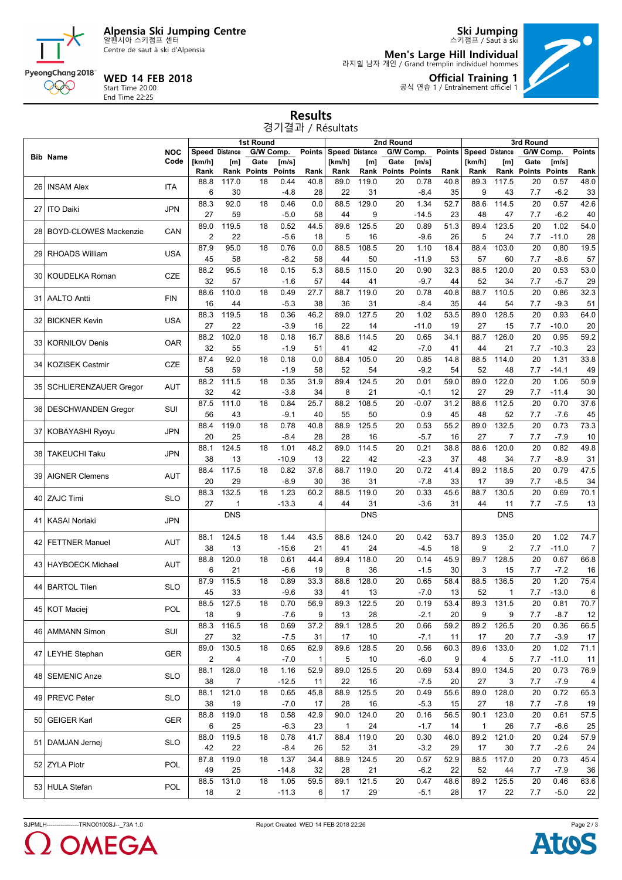

Centre de saut à ski d'Alpensia

## **WED 14 FEB 2018**

Start Time 20:00 End Time 22:25

PyeongChang 2018 000

**Men's Large Hill Individual** 라지힐 남자 개인 / Grand tremplin individuel hommes



**Official Training 1** 공식 연습 1 / Entraînement officiel 1

**Ski Jumping** 스키점프 / Saut à ski

#### **Results** 경기결과 / Résultats

|    |                              |            | <b>1st Round</b>        |                                    |               |               |                | 2nd Round      |            |             |               |      | 3rd Round             |                    |             |               |                |  |
|----|------------------------------|------------|-------------------------|------------------------------------|---------------|---------------|----------------|----------------|------------|-------------|---------------|------|-----------------------|--------------------|-------------|---------------|----------------|--|
|    |                              | <b>NOC</b> |                         | <b>Speed Distance</b><br>G/W Comp. |               | <b>Points</b> |                | Speed Distance | G/W Comp.  |             | <b>Points</b> |      | <b>Speed Distance</b> |                    | G/W Comp.   | <b>Points</b> |                |  |
|    | <b>Bib Name</b>              | Code       | [km/h]                  | [m]                                | Gate          | [m/s]         |                | [km/h]         | [m]        | Gate        | [m/s]         |      | [km/h]                | [m]                | Gate        | [m/s]         |                |  |
|    |                              |            | Rank                    | Rank                               | <b>Points</b> | <b>Points</b> | Rank           | Rank           |            | Rank Points | <b>Points</b> | Rank | Rank                  |                    | Rank Points | Points        | Rank           |  |
|    |                              |            | 88.8                    | 117.0                              | 18            | 0.44          | 40.8           | 89.0           | 119.0      | 20          | 0.78          | 40.8 | 89.3                  | 117.5              | 20          | 0.57          | 48.0           |  |
| 26 | <b>INSAM Alex</b>            | <b>ITA</b> | 6                       | 30                                 |               | $-4.8$        | 28             | 22             | 31         |             | $-8.4$        | 35   | 9                     | 43                 | 7.7         | $-6.2$        | 33             |  |
|    |                              |            | 88.3                    | 92.0                               | 18            | 0.46          | 0.0            | 88.5           | 129.0      | 20          | 1.34          | 52.7 | 88.6                  | 114.5              | 20          | 0.57          | 42.6           |  |
| 27 | <b>ITO Daiki</b>             | <b>JPN</b> | 27                      | 59                                 |               | $-5.0$        | 58             | 44             | 9          |             | $-14.5$       | 23   | 48                    | 47                 | 7.7         | $-6.2$        | 40             |  |
|    |                              |            | 89.0                    | 119.5                              | 18            |               | 44.5           | 89.6           | 125.5      | 20          |               | 51.3 |                       | 123.5              | 20          | 1.02          | 54.0           |  |
| 28 | <b>BOYD-CLOWES Mackenzie</b> | CAN        |                         |                                    |               | 0.52          |                |                |            |             | 0.89          |      | 89.4                  |                    |             |               |                |  |
|    |                              |            | 2                       | 22                                 |               | $-5.6$        | 18             | 5              | 16         |             | $-9.6$        | 26   | 5                     | 24                 | 7.7         | $-11.0$       | 28             |  |
| 29 | <b>RHOADS William</b>        | <b>USA</b> | 87.9                    | 95.0                               | 18            | 0.76          | 0.0            | 88.5           | 108.5      | 20          | 1.10          | 18.4 | 88.4                  | 103.0              | 20          | 0.80          | 19.5           |  |
|    |                              |            | 45                      | 58                                 |               | $-8.2$        | 58             | 44             | 50         |             | $-11.9$       | 53   | 57                    | 60                 | 7.7         | $-8.6$        | 57             |  |
|    |                              |            | 88.2                    | 95.5                               | 18            | 0.15          | 5.3            | 88.5           | 115.0      | 20          | 0.90          | 32.3 | 88.5                  | 120.0              | 20          | 0.53          | 53.0           |  |
| 30 | <b>KOUDELKA Roman</b>        | <b>CZE</b> | 32                      | 57                                 |               | $-1.6$        | 57             | 44             | 41         |             | $-9.7$        | 44   | 52                    | 34                 | 7.7         | $-5.7$        | 29             |  |
|    |                              |            | 88.6                    | 110.0                              | 18            | 0.49          | 27.7           | 88.7           | 119.0      | 20          | 0.78          | 40.8 | 88.7                  | 110.5              | 20          | 0.86          | 32.3           |  |
| 31 | <b>AALTO Antti</b>           | <b>FIN</b> | 16                      | 44                                 |               | $-5.3$        | 38             | 36             | 31         |             | $-8.4$        | 35   | 44                    | 54                 | 7.7         | $-9.3$        | 51             |  |
|    |                              |            | 88.3                    | 119.5                              | 18            | 0.36          | 46.2           | 89.0           | 127.5      | 20          | 1.02          | 53.5 | 89.0                  | 128.5              | 20          | 0.93          | 64.0           |  |
| 32 | <b>BICKNER Kevin</b>         | <b>USA</b> | 27                      | 22                                 |               | $-3.9$        | 16             | 22             | 14         |             | $-11.0$       | 19   | 27                    | 15                 | 7.7         | $-10.0$       |                |  |
|    |                              |            |                         |                                    |               |               |                |                |            |             |               |      |                       |                    |             |               | 20             |  |
|    | 33   KORNILOV Denis          | OAR        | 88.2                    | 102.0                              | 18            | 0.18          | 16.7           | 88.6           | 114.5      | 20          | 0.65          | 34.1 | 88.7                  | $\overline{1}26.0$ | 20          | 0.95          | 59.2           |  |
|    |                              |            | 32                      | 55                                 |               | $-1.9$        | 51             | 41             | 42         |             | $-7.0$        | 41   | 44                    | 21                 | 7.7         | $-10.3$       | 23             |  |
| 34 | <b>KOZISEK Cestmir</b>       | CZE        | 87.4                    | 92.0                               | 18            | 0.18          | 0.0            | 88.4           | 105.0      | 20          | 0.85          | 14.8 | 88.5                  | 114.0              | 20          | 1.31          | 33.8           |  |
|    |                              |            | 58                      | 59                                 |               | $-1.9$        | 58             | 52             | 54         |             | $-9.2$        | 54   | 52                    | 48                 | 7.7         | $-14.1$       | 49             |  |
|    |                              |            | 88.2                    | 111.5                              | 18            | 0.35          | 31.9           | 89.4           | 124.5      | 20          | 0.01          | 59.0 | 89.0                  | 122.0              | 20          | 1.06          | 50.9           |  |
|    | 35 SCHLIERENZAUER Gregor     | AUT        | 32                      | 42                                 |               | $-3.8$        | 34             | 8              | 21         |             | $-0.1$        | 12   | 27                    | 29                 | 7.7         | $-11.4$       | 30             |  |
|    |                              |            | 87.5                    | 111.0                              | 18            | 0.84          | 25.7           | 88.2           | 108.5      | 20          | $-0.07$       | 31.2 | 88.6                  | 112.5              | 20          | 0.70          | 37.6           |  |
|    | 36 DESCHWANDEN Gregor        | <b>SUI</b> | 56                      | 43                                 |               | $-9.1$        | 40             | 55             | 50         |             | 0.9           | 45   | 48                    | 52                 | 7.7         | $-7.6$        | 45             |  |
|    |                              |            |                         |                                    |               |               |                | 88.9           | 125.5      |             |               |      |                       |                    | 20          | 0.73          |                |  |
|    | 37 KOBAYASHI Ryoyu           | <b>JPN</b> | 88.4                    | 119.0                              | 18            | 0.78          | 40.8           |                |            | 20          | 0.53          | 55.2 | 89.0                  | 132.5              |             |               | 73.3           |  |
|    |                              |            | 20                      | 25                                 |               | $-8.4$        | 28             | 28             | 16         |             | $-5.7$        | 16   | 27                    | $\overline{7}$     | 7.7         | $-7.9$        | 10             |  |
| 38 | <b>TAKEUCHI Taku</b>         | <b>JPN</b> | 88.1                    | 124.5                              | 18            | 1.01          | 48.2           | 89.0           | 114.5      | 20          | 0.21          | 38.8 | 88.6                  | 120.0              | 20          | 0.82          | 49.8           |  |
|    |                              |            | 38                      | 13                                 |               | $-10.9$       | 13             | 22             | 42         |             | $-2.3$        | 37   | 48                    | 34                 | 7.7         | $-8.9$        | 31             |  |
|    |                              | AUT        | 88.4                    | 117.5                              | 18            | 0.82          | 37.6           | 88.7           | 119.0      | 20          | 0.72          | 41.4 | 89.2                  | 118.5              | 20          | 0.79          | 47.5           |  |
| 39 | <b>AIGNER Clemens</b>        |            | 20                      | 29                                 |               | $-8.9$        | 30             | 36             | 31         |             | $-7.8$        | 33   | 17                    | 39                 | 7.7         | $-8.5$        | 34             |  |
|    |                              |            | 88.3                    | 132.5                              | 18            | 1.23          | 60.2           | 88.5           | 119.0      | 20          | 0.33          | 45.6 | 88.7                  | 130.5              | 20          | 0.69          | 70.1           |  |
|    | 40 ZAJC Timi                 | <b>SLO</b> | 27                      | 1                                  |               | $-13.3$       | $\overline{4}$ | 44             | 31         |             | $-3.6$        | 31   | 44                    | 11                 | 7.7         | $-7.5$        | 13             |  |
|    |                              |            |                         | <b>DNS</b>                         |               |               |                |                | <b>DNS</b> |             |               |      |                       | <b>DNS</b>         |             |               |                |  |
| 41 | <b>KASAI Noriaki</b>         | <b>JPN</b> |                         |                                    |               |               |                |                |            |             |               |      |                       |                    |             |               |                |  |
|    |                              |            |                         |                                    |               |               |                |                |            |             |               |      |                       |                    |             |               |                |  |
|    | 42   FETTNER Manuel          | <b>AUT</b> | 88.1                    | 124.5                              | 18            | 1.44          | 43.5           | 88.6           | 124.0      | 20          | 0.42          | 53.7 | 89.3                  | 135.0              | 20          | 1.02          | 74.7           |  |
|    |                              |            | 38                      | 13                                 |               | $-15.6$       | 21             | 41             | 24         |             | $-4.5$        | 18   | 9                     | $\overline{2}$     | 7.7         | $-11.0$       | $\overline{7}$ |  |
| 43 | <b>HAYBOECK Michael</b>      | AUT        | 88.8                    | 120.0                              | 18            | 0.61          | 44.4           | 89.4           | 118.0      | 20          | 0.14          | 45.9 | 89.7                  | 128.5              | 20          | 0.67          | 66.8           |  |
|    |                              |            | 6                       | 21                                 |               | $-6.6$        | 19             | 8              | 36         |             | $-1.5$        | 30   | 3                     | 15                 | 7.7         | $-7.2$        | 16             |  |
|    |                              |            | 87.9                    | 115.5                              | 18            | 0.89          | 33.3           | 88.6           | 128.0      | 20          | 0.65          | 58.4 | 88.5                  | 136.5              | 20          | 1.20          | 75.4           |  |
| 44 | <b>BARTOL Tilen</b>          | SLO        | 45                      | 33                                 |               | $-9.6$        | 33             | 41             | 13         |             | $-7.0$        | 13   | 52                    | $\mathbf{1}$       | 7.7         | $-13.0$       | 6              |  |
|    |                              |            | 88.5                    | 127.5                              | 18            | 0.70          | 56.9           | 89.3           | 122.5      | 20          | 0.19          | 53.4 | 89.3                  | 131.5              | 20          | 0.81          | 70.7           |  |
|    | 45 KOT Maciej                | POL        | 18                      | 9                                  |               | $-7.6$        | 9              | 13             | 28         |             | $-2.1$        | 20   | 9                     | 9                  | 7.7         | -8.7          | 12             |  |
|    |                              |            |                         |                                    | 18            | 0.69          | 37.2           | 89.1           | 128.5      | 20          | 0.66          | 59.2 | 89.2                  | 126.5              | 20          | 0.36          | 66.5           |  |
|    | 46 AMMANN Simon              | SUI        | 88.3                    | 116.5                              |               |               |                |                |            |             |               |      |                       |                    |             |               |                |  |
|    |                              |            | 27                      | 32                                 |               | $-7.5$        | 31             | 17             | 10         |             | $-7.1$        | 11   | 17                    | 20                 | 7.7         | $-3.9$        | 17             |  |
|    | 47 LEYHE Stephan             | <b>GER</b> | 89.0                    | 130.5                              | 18            | 0.65          | 62.9           | 89.6           | 128.5      | 20          | 0.56          | 60.3 | 89.6                  | 133.0              | 20          | 1.02          | 71.1           |  |
|    |                              |            | $\overline{\mathbf{c}}$ | 4                                  |               | $-7.0$        | $\mathbf{1}$   | 5              | 10         |             | $-6.0$        | 9    | 4                     | 5                  | 7.7         | $-11.0$       | 11             |  |
|    |                              |            | 88.1                    | 128.0                              | 18            | 1.16          | 52.9           | 89.0           | 125.5      | 20          | 0.69          | 53.4 | 89.0                  | 134.5              | 20          | 0.73          | 76.9           |  |
|    | 48 SEMENIC Anze              | <b>SLO</b> | 38                      | 7                                  |               | $-12.5$       | 11             | 22             | 16         |             | $-7.5$        | 20   | 27                    | 3                  | 7.7         | $-7.9$        | 4              |  |
|    |                              |            | 88.1                    | 121.0                              | 18            | 0.65          | 45.8           | 88.9           | 125.5      | 20          | 0.49          | 55.6 | 89.0                  | 128.0              | 20          | 0.72          | 65.3           |  |
|    | 49 PREVC Peter               | <b>SLO</b> | 38                      | 19                                 |               | $-7.0$        | 17             | 28             | 16         |             | $-5.3$        | 15   | 27                    | 18                 | 7.7         | $-7.8$        | 19             |  |
|    |                              |            | 88.8                    | 119.0                              | 18            | 0.58          | 42.9           | 90.0           | 124.0      | 20          | 0.16          | 56.5 | 90.1                  | 123.0              | 20          | 0.61          | 57.5           |  |
|    | 50 GEIGER Karl               | GER        |                         |                                    |               |               |                |                |            |             |               |      |                       |                    |             |               |                |  |
|    |                              |            | 6                       | 25                                 |               | $-6.3$        | 23             | $\mathbf{1}$   | 24         |             | $-1.7$        | 14   | $\mathbf{1}$          | 26                 | 7.7         | $-6.6$        | 25             |  |
|    | 51 DAMJAN Jernej             | <b>SLO</b> | 88.0                    | 119.5                              | 18            | 0.78          | 41.7           | 88.4           | 119.0      | 20          | 0.30          | 46.0 | 89.2                  | 121.0              | 20          | 0.24          | 57.9           |  |
|    |                              |            | 42                      | 22                                 |               | $-8.4$        | 26             | 52             | 31         |             | $-3.2$        | 29   | 17                    | 30                 | 7.7         | $-2.6$        | 24             |  |
|    | 52 ZYLA Piotr                | POL        | 87.8                    | 119.0                              | 18            | 1.37          | 34.4           | 88.9           | 124.5      | 20          | 0.57          | 52.9 | 88.5                  | 117.0              | 20          | 0.73          | 45.4           |  |
|    |                              |            | 49                      | 25                                 |               | $-14.8$       | 32             | 28             | 21         |             | $-6.2$        | 22   | 52                    | 44                 | 7.7         | $-7.9$        | 36             |  |
|    |                              |            | 88.5                    | 131.0                              | 18            | 1.05          | 59.5           | 89.1           | 121.5      | 20          | 0.47          | 48.6 | 89.2                  | 125.5              | 20          | 0.46          | 63.6           |  |
|    | 53 HULA Stefan               | POL        | 18                      | $\overline{c}$                     |               | $-11.3$       | 6              | 17             | 29         |             | $-5.1$        | 28   | 17                    | 22                 | 7.7         | $-5.0$        | 22             |  |
|    |                              |            |                         |                                    |               |               |                |                |            |             |               |      |                       |                    |             |               |                |  |

SJPMLH----------------TRNO0100SJ--\_73A 1.0 Report Created WED 14 FEB 2018 22:26